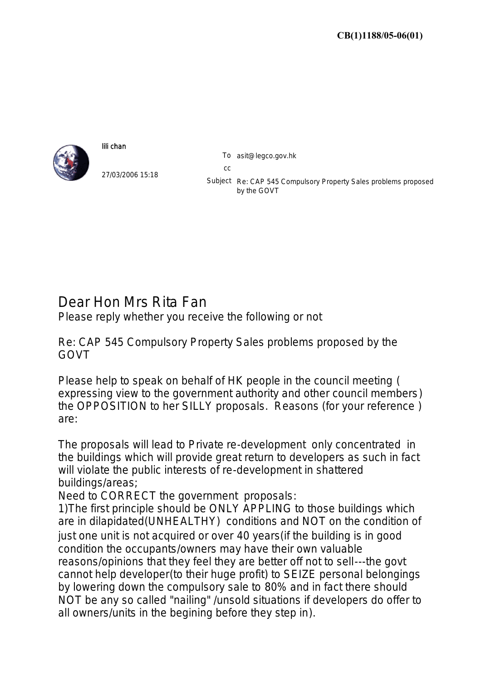

lili chan

27/03/2006 15:18

To asit@legco.gov.hk

cc

Subject Re: CAP 545 Compulsory Property Sales problems proposed by the GOVT

## Dear Hon Mrs Rita Fan

Please reply whether you receive the following or not

Re: CAP 545 Compulsory Property Sales problems proposed by the GOVT

Please help to speak on behalf of HK people in the council meeting ( expressing view to the government authority and other council members) the OPPOSITION to her SILLY proposals. Reasons (for your reference ) are:

The proposals will lead to Private re-development only concentrated in the buildings which will provide great return to developers as such in fact will violate the public interests of re-development in shattered buildings/areas;

Need to CORRECT the government proposals:

1)The first principle should be ONLY APPLING to those buildings which are in dilapidated(UNHEALTHY) conditions and NOT on the condition of just one unit is not acquired or over 40 years(if the building is in good condition the occupants/owners may have their own valuable reasons/opinions that they feel they are better off not to sell---the govt cannot help developer(to their huge profit) to SEIZE personal belongings by lowering down the compulsory sale to 80% and in fact there should NOT be any so called "nailing" /unsold situations if developers do offer to all owners/units in the begining before they step in).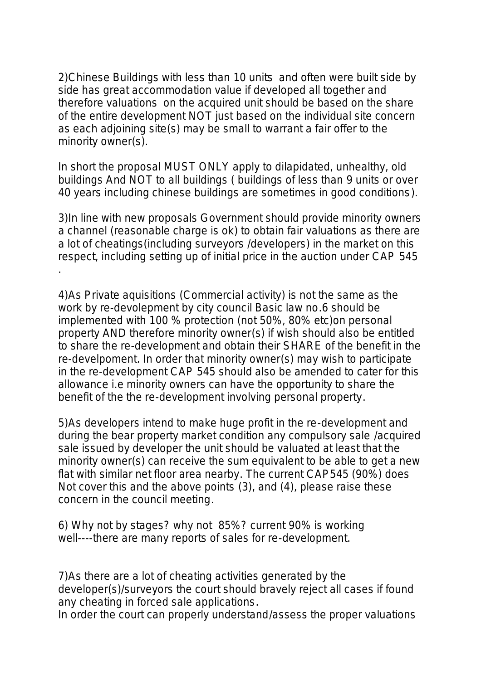2)Chinese Buildings with less than 10 units and often were built side by side has great accommodation value if developed all together and therefore valuations on the acquired unit should be based on the share of the entire development NOT just based on the individual site concern as each adjoining site(s) may be small to warrant a fair offer to the minority owner(s).

In short the proposal MUST ONLY apply to dilapidated, unhealthy, old buildings And NOT to all buildings ( buildings of less than 9 units or over 40 years including chinese buildings are sometimes in good conditions).

3)In line with new proposals Government should provide minority owners a channel (reasonable charge is ok) to obtain fair valuations as there are a lot of cheatings(including surveyors /developers) in the market on this respect, including setting up of initial price in the auction under CAP 545 .

4)As Private aquisitions (Commercial activity) is not the same as the work by re-devolepment by city council Basic law no.6 should be implemented with 100 % protection (not 50%, 80% etc)on personal property AND therefore minority owner(s) if wish should also be entitled to share the re-development and obtain their SHARE of the benefit in the re-develpoment. In order that minority owner(s) may wish to participate in the re-development CAP 545 should also be amended to cater for this allowance i.e minority owners can have the opportunity to share the benefit of the the re-development involving personal property.

5)As developers intend to make huge profit in the re-development and during the bear property market condition any compulsory sale /acquired sale issued by developer the unit should be valuated at least that the minority owner(s) can receive the sum equivalent to be able to get a new flat with similar net floor area nearby. The current CAP545 (90%) does Not cover this and the above points (3), and (4), please raise these concern in the council meeting.

6) Why not by stages? why not 85%? current 90% is working well----there are many reports of sales for re-development.

7)As there are a lot of cheating activities generated by the developer(s)/surveyors the court should bravely reject all cases if found any cheating in forced sale applications.

In order the court can properly understand/assess the proper valuations